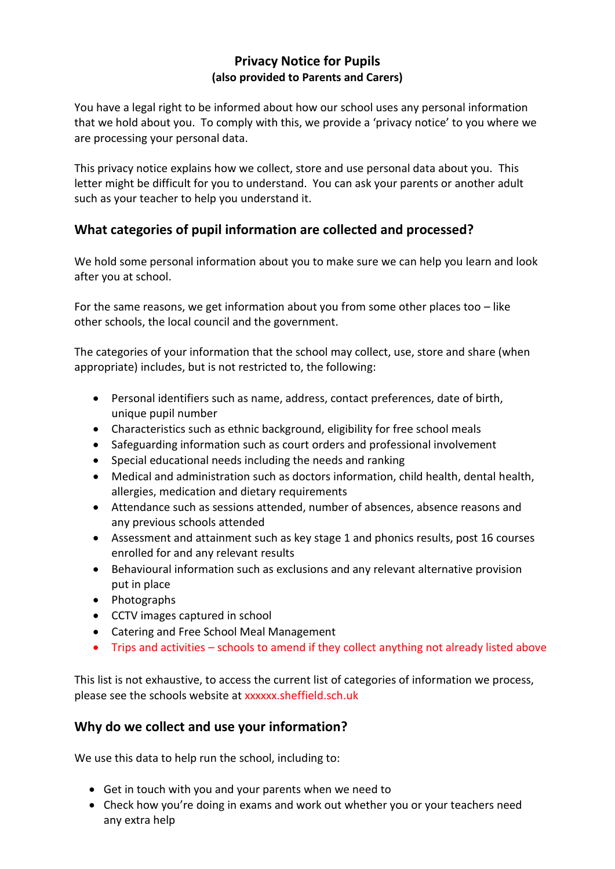### **Privacy Notice for Pupils (also provided to Parents and Carers)**

You have a legal right to be informed about how our school uses any personal information that we hold about you. To comply with this, we provide a 'privacy notice' to you where we are processing your personal data.

This privacy notice explains how we collect, store and use personal data about you. This letter might be difficult for you to understand. You can ask your parents or another adult such as your teacher to help you understand it.

# **What categories of pupil information are collected and processed?**

We hold some personal information about you to make sure we can help you learn and look after you at school.

For the same reasons, we get information about you from some other places too  $-$  like other schools, the local council and the government.

The categories of your information that the school may collect, use, store and share (when appropriate) includes, but is not restricted to, the following:

- Personal identifiers such as name, address, contact preferences, date of birth, unique pupil number
- Characteristics such as ethnic background, eligibility for free school meals
- Safeguarding information such as court orders and professional involvement
- Special educational needs including the needs and ranking
- Medical and administration such as doctors information, child health, dental health, allergies, medication and dietary requirements
- Attendance such as sessions attended, number of absences, absence reasons and any previous schools attended
- Assessment and attainment such as key stage 1 and phonics results, post 16 courses enrolled for and any relevant results
- Behavioural information such as exclusions and any relevant alternative provision put in place
- Photographs
- CCTV images captured in school
- Catering and Free School Meal Management
- Trips and activities schools to amend if they collect anything not already listed above

This list is not exhaustive, to access the current list of categories of information we process, please see the schools website at xxxxxx.sheffield.sch.uk

### **Why do we collect and use your information?**

We use this data to help run the school, including to:

- Get in touch with you and your parents when we need to
- Check how you're doing in exams and work out whether you or your teachers need any extra help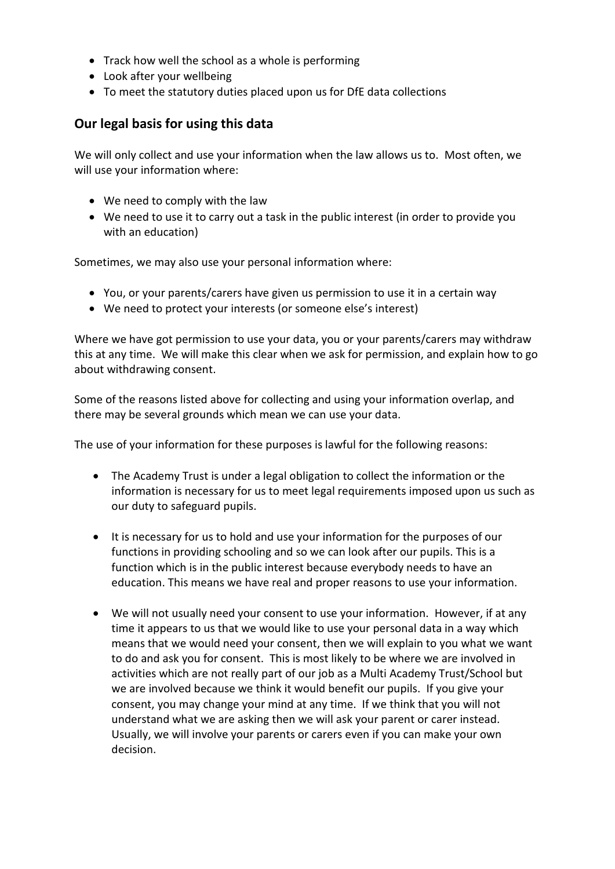- Track how well the school as a whole is performing
- Look after your wellbeing
- To meet the statutory duties placed upon us for DfE data collections

## **Our legal basis for using this data**

We will only collect and use your information when the law allows us to. Most often, we will use your information where:

- We need to comply with the law
- We need to use it to carry out a task in the public interest (in order to provide you with an education)

Sometimes, we may also use your personal information where:

- You, or your parents/carers have given us permission to use it in a certain way
- We need to protect your interests (or someone else's interest)

Where we have got permission to use your data, you or your parents/carers may withdraw this at any time. We will make this clear when we ask for permission, and explain how to go about withdrawing consent.

Some of the reasons listed above for collecting and using your information overlap, and there may be several grounds which mean we can use your data.

The use of your information for these purposes is lawful for the following reasons:

- The Academy Trust is under a legal obligation to collect the information or the information is necessary for us to meet legal requirements imposed upon us such as our duty to safeguard pupils.
- It is necessary for us to hold and use your information for the purposes of our functions in providing schooling and so we can look after our pupils. This is a function which is in the public interest because everybody needs to have an education. This means we have real and proper reasons to use your information.
- We will not usually need your consent to use your information. However, if at any time it appears to us that we would like to use your personal data in a way which means that we would need your consent, then we will explain to you what we want to do and ask you for consent. This is most likely to be where we are involved in activities which are not really part of our job as a Multi Academy Trust/School but we are involved because we think it would benefit our pupils. If you give your consent, you may change your mind at any time. If we think that you will not understand what we are asking then we will ask your parent or carer instead. Usually, we will involve your parents or carers even if you can make your own decision.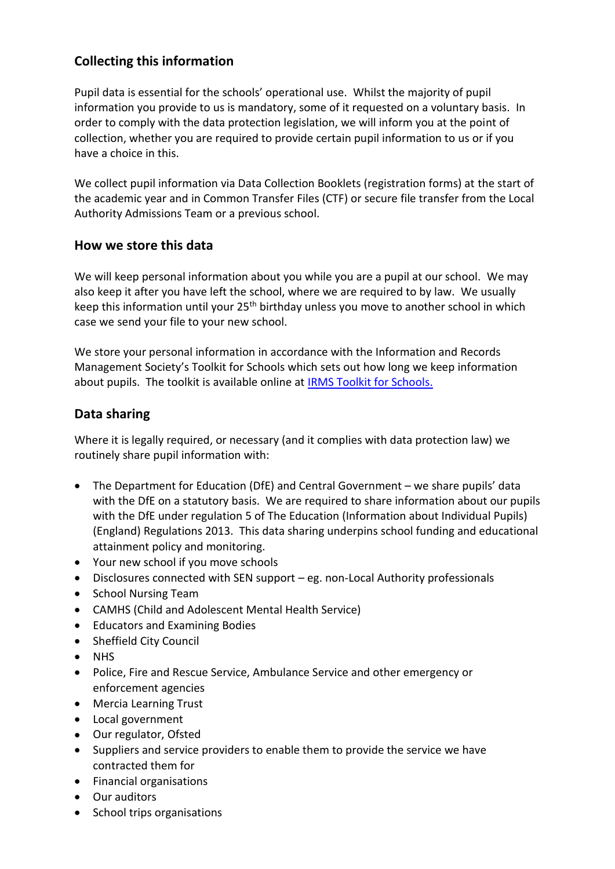# **Collecting this information**

Pupil data is essential for the schools' operational use. Whilst the majority of pupil information you provide to us is mandatory, some of it requested on a voluntary basis. In order to comply with the data protection legislation, we will inform you at the point of collection, whether you are required to provide certain pupil information to us or if you have a choice in this.

We collect pupil information via Data Collection Booklets (registration forms) at the start of the academic year and in Common Transfer Files (CTF) or secure file transfer from the Local Authority Admissions Team or a previous school.

### **How we store this data**

We will keep personal information about you while you are a pupil at our school. We may also keep it after you have left the school, where we are required to by law. We usually keep this information until your 25<sup>th</sup> birthday unless you move to another school in which case we send your file to your new school.

We store your personal information in accordance with the Information and Records Management Society's Toolkit for Schools which sets out how long we keep information about pupils. The toolkit is available online at [IRMS Toolkit for Schools.](https://c.ymcdn.com/sites/irms.site-ym.com/resource/collection/8BCEF755-0353-4F66-9877-CCDA4BFEEAC4/2016_IRMS_Toolkit_for_Schools_v5_Master.pdf)

## **Data sharing**

Where it is legally required, or necessary (and it complies with data protection law) we routinely share pupil information with:

- The Department for Education (DfE) and Central Government we share pupils' data with the DfE on a statutory basis. We are required to share information about our pupils with the DfE under regulation 5 of The Education (Information about Individual Pupils) (England) Regulations 2013. This data sharing underpins school funding and educational attainment policy and monitoring.
- Your new school if you move schools
- Disclosures connected with SEN support eg. non-Local Authority professionals
- School Nursing Team
- CAMHS (Child and Adolescent Mental Health Service)
- Educators and Examining Bodies
- Sheffield City Council
- NHS
- Police, Fire and Rescue Service, Ambulance Service and other emergency or enforcement agencies
- Mercia Learning Trust
- Local government
- Our regulator, Ofsted
- Suppliers and service providers to enable them to provide the service we have contracted them for
- Financial organisations
- Our auditors
- School trips organisations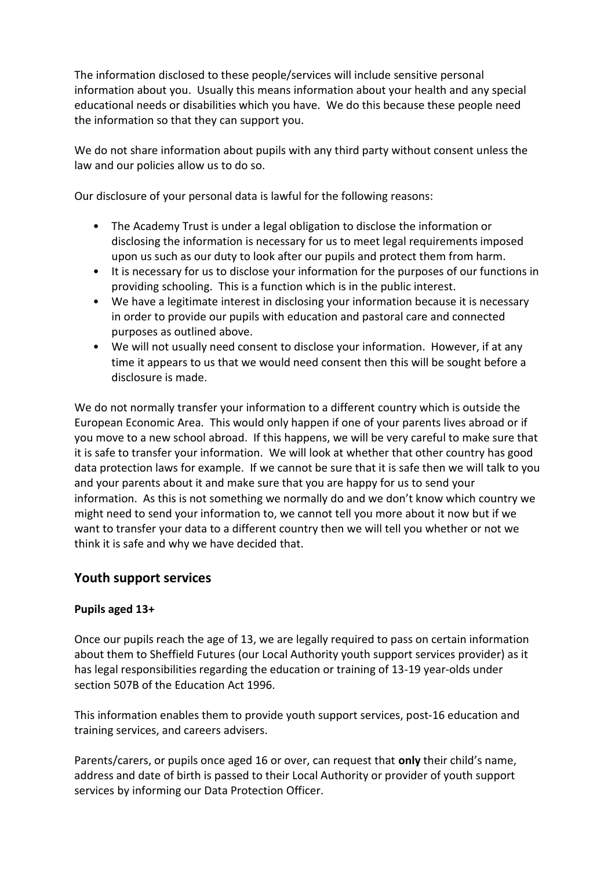The information disclosed to these people/services will include sensitive personal information about you. Usually this means information about your health and any special educational needs or disabilities which you have. We do this because these people need the information so that they can support you.

We do not share information about pupils with any third party without consent unless the law and our policies allow us to do so.

Our disclosure of your personal data is lawful for the following reasons:

- The Academy Trust is under a legal obligation to disclose the information or disclosing the information is necessary for us to meet legal requirements imposed upon us such as our duty to look after our pupils and protect them from harm.
- It is necessary for us to disclose your information for the purposes of our functions in providing schooling. This is a function which is in the public interest.
- We have a legitimate interest in disclosing your information because it is necessary in order to provide our pupils with education and pastoral care and connected purposes as outlined above.
- We will not usually need consent to disclose your information. However, if at any time it appears to us that we would need consent then this will be sought before a disclosure is made.

We do not normally transfer your information to a different country which is outside the European Economic Area. This would only happen if one of your parents lives abroad or if you move to a new school abroad. If this happens, we will be very careful to make sure that it is safe to transfer your information. We will look at whether that other country has good data protection laws for example. If we cannot be sure that it is safe then we will talk to you and your parents about it and make sure that you are happy for us to send your information. As this is not something we normally do and we don't know which country we might need to send your information to, we cannot tell you more about it now but if we want to transfer your data to a different country then we will tell you whether or not we think it is safe and why we have decided that.

### **Youth support services**

#### **Pupils aged 13+**

Once our pupils reach the age of 13, we are legally required to pass on certain information about them to Sheffield Futures (our Local Authority youth support services provider) as it has legal responsibilities regarding the education or training of 13-19 year-olds under section 507B of the Education Act 1996.

This information enables them to provide youth support services, post-16 education and training services, and careers advisers.

Parents/carers, or pupils once aged 16 or over, can request that **only** their child's name, address and date of birth is passed to their Local Authority or provider of youth support services by informing our Data Protection Officer.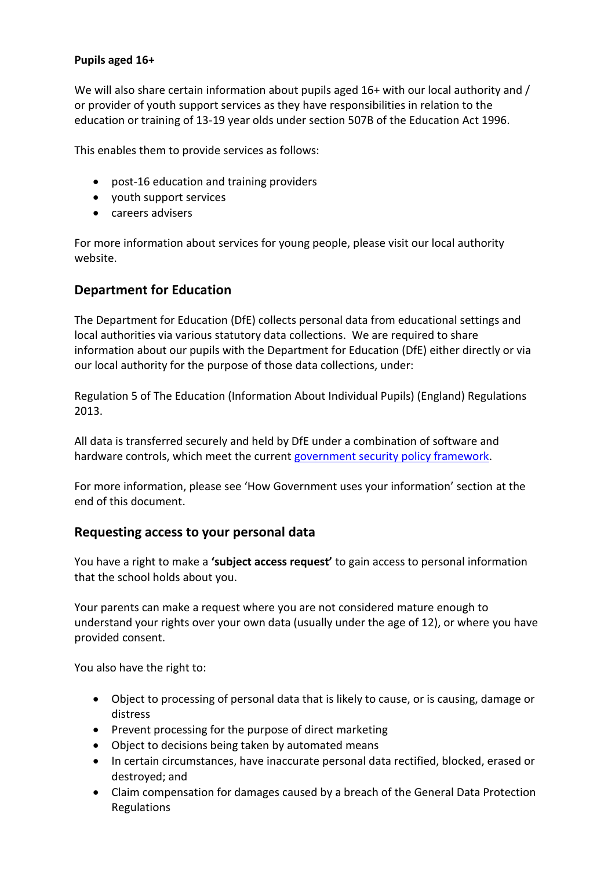#### **Pupils aged 16+**

We will also share certain information about pupils aged 16+ with our local authority and / or provider of youth support services as they have responsibilities in relation to the education or training of 13-19 year olds under section 507B of the Education Act 1996.

This enables them to provide services as follows:

- post-16 education and training providers
- youth support services
- careers advisers

For more information about services for young people, please visit our local authority website.

### **Department for Education**

The Department for Education (DfE) collects personal data from educational settings and local authorities via various statutory data collections. We are required to share information about our pupils with the Department for Education (DfE) either directly or via our local authority for the purpose of those data collections, under:

Regulation 5 of The Education (Information About Individual Pupils) (England) Regulations 2013.

All data is transferred securely and held by DfE under a combination of software and hardware controls, which meet the current [government security policy framework.](https://www.gov.uk/government/publications/security-policy-framework)

For more information, please see 'How Government uses your information' section at the end of this document.

#### **Requesting access to your personal data**

You have a right to make a **'subject access request'** to gain access to personal information that the school holds about you.

Your parents can make a request where you are not considered mature enough to understand your rights over your own data (usually under the age of 12), or where you have provided consent.

You also have the right to:

- Object to processing of personal data that is likely to cause, or is causing, damage or distress
- Prevent processing for the purpose of direct marketing
- Object to decisions being taken by automated means
- In certain circumstances, have inaccurate personal data rectified, blocked, erased or destroyed; and
- Claim compensation for damages caused by a breach of the General Data Protection Regulations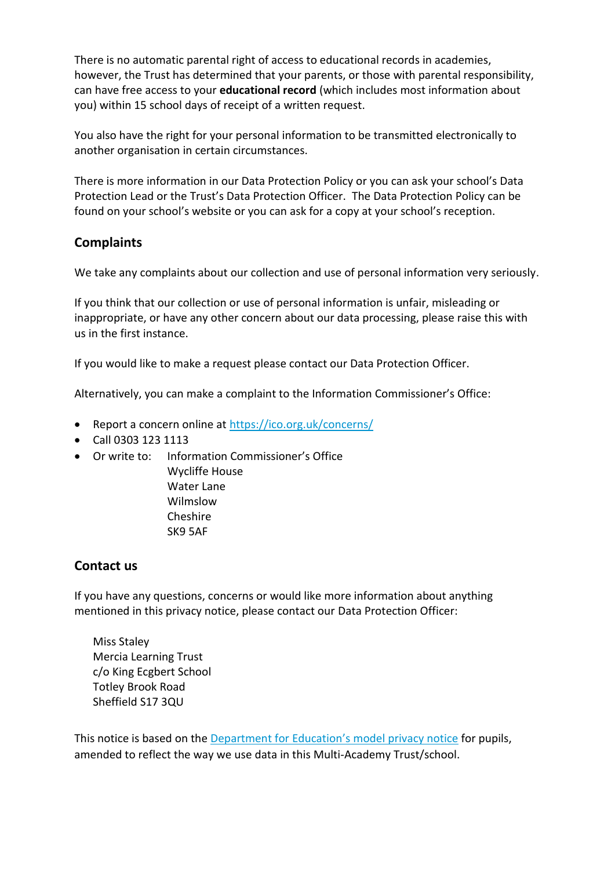There is no automatic parental right of access to educational records in academies, however, the Trust has determined that your parents, or those with parental responsibility, can have free access to your **educational record** (which includes most information about you) within 15 school days of receipt of a written request.

You also have the right for your personal information to be transmitted electronically to another organisation in certain circumstances.

There is more information in our Data Protection Policy or you can ask your school's Data Protection Lead or the Trust's Data Protection Officer. The Data Protection Policy can be found on your school's website or you can ask for a copy at your school's reception.

# **Complaints**

We take any complaints about our collection and use of personal information very seriously.

If you think that our collection or use of personal information is unfair, misleading or inappropriate, or have any other concern about our data processing, please raise this with us in the first instance.

If you would like to make a request please contact our Data Protection Officer.

Alternatively, you can make a complaint to the Information Commissioner's Office:

- Report a concern online at<https://ico.org.uk/concerns/>
- Call 0303 123 1113
- Or write to: Information Commissioner's Office
	- Wycliffe House Water Lane Wilmslow Cheshire SK9 5AF

# **Contact us**

If you have any questions, concerns or would like more information about anything mentioned in this privacy notice, please contact our Data Protection Officer:

Miss Staley Mercia Learning Trust c/o King Ecgbert School Totley Brook Road Sheffield S17 3QU

This notice is based on the [Department for Education's](https://www.gov.uk/government/publications/data-protection-and-privacy-privacy-notices) model privacy notice for pupils, amended to reflect the way we use data in this Multi-Academy Trust/school.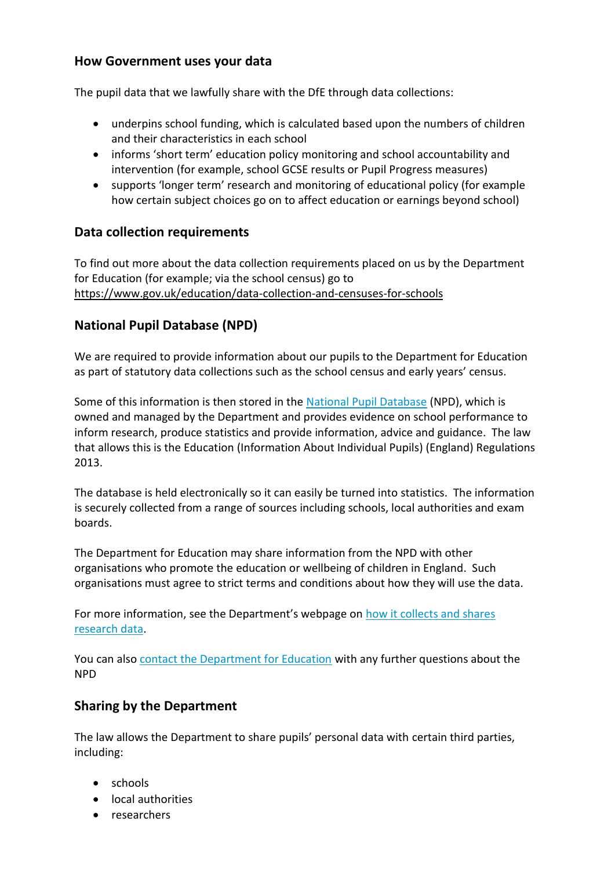### **How Government uses your data**

The pupil data that we lawfully share with the DfE through data collections:

- underpins school funding, which is calculated based upon the numbers of children and their characteristics in each school
- informs 'short term' education policy monitoring and school accountability and intervention (for example, school GCSE results or Pupil Progress measures)
- supports 'longer term' research and monitoring of educational policy (for example how certain subject choices go on to affect education or earnings beyond school)

## **Data collection requirements**

To find out more about the data collection requirements placed on us by the Department for Education (for example; via the school census) go to <https://www.gov.uk/education/data-collection-and-censuses-for-schools>

# **National Pupil Database (NPD)**

We are required to provide information about our pupils to the Department for Education as part of statutory data collections such as the school census and early years' census.

Some of this information is then stored in the [National Pupil Database](https://www.gov.uk/government/publications/national-pupil-database-user-guide-and-supporting-information) (NPD), which is owned and managed by the Department and provides evidence on school performance to inform research, produce statistics and provide information, advice and guidance. The law that allows this is the Education (Information About Individual Pupils) (England) Regulations 2013.

The database is held electronically so it can easily be turned into statistics. The information is securely collected from a range of sources including schools, local authorities and exam boards.

The Department for Education may share information from the NPD with other organisations who promote the education or wellbeing of children in England. Such organisations must agree to strict terms and conditions about how they will use the data.

For more information, see the Department's webpage on [how it collects and shares](https://www.gov.uk/data-protection-how-we-collect-and-share-research-data)  [research data.](https://www.gov.uk/data-protection-how-we-collect-and-share-research-data)

You can also [contact the Department for Education](https://www.gov.uk/contact-dfe) with any further questions about the NPD

# **Sharing by the Department**

The law allows the Department to share pupils' personal data with certain third parties, including:

- schools
- local authorities
- researchers